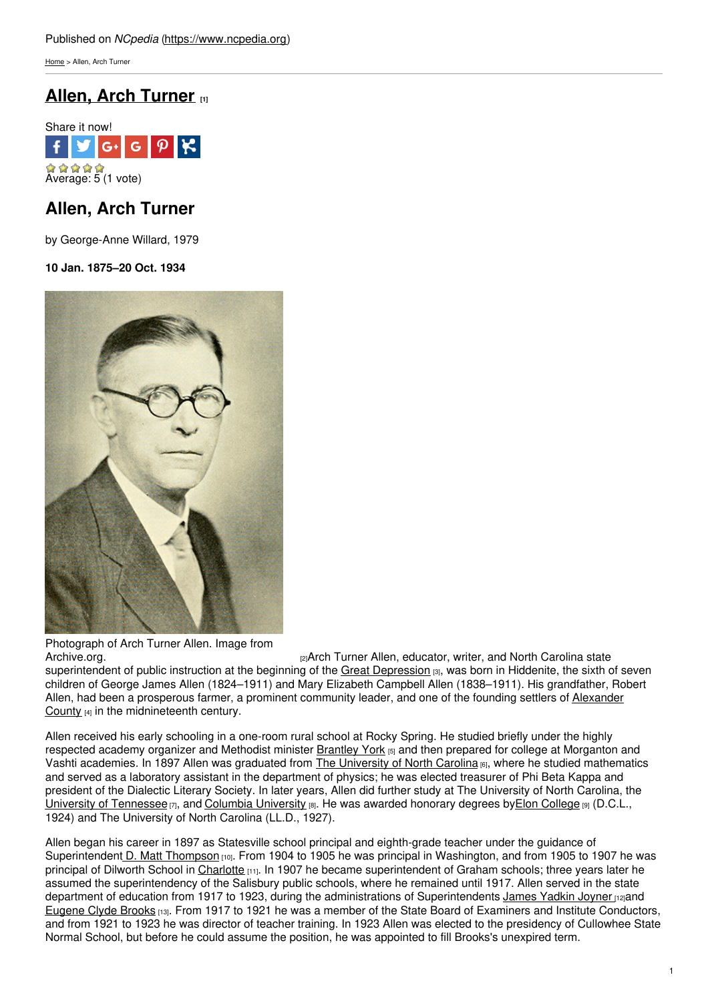[Home](https://www.ncpedia.org/) > Allen, Arch Turner

# **Allen, Arch [Turner](https://www.ncpedia.org/biography/allen-arch-turner) [1]**



## **Allen, Arch Turner**

by George-Anne Willard, 1979

### **10 Jan. 1875–20 Oct. 1934**



Photograph of Arch Turner Allen. Image from

[Archive.org.](https://archive.org/stream/biennialreportof19321934nort#page/n9/mode/2up) [2]Arch Turner Allen, educator, writer, and North Carolina state superintendent of public instruction at the beginning of the Great [Depression](https://www.ncpedia.org/history/20th-Century/great-depression) [3], was born in Hiddenite, the sixth of seven children of George James Allen (1824–1911) and Mary Elizabeth Campbell Allen (1838–1911). His grandfather, Robert Allen, had been a prosperous farmer, a prominent community leader, and one of the founding settlers of Alexander County [4] in the [midnineteenth](https://www.ncpedia.org/geography/alexander) century.

Allen received his early schooling in a one-room rural school at Rocky Spring. He studied briefly under the highly respected academy organizer and Methodist minister **[Brantley](https://www.ncpedia.org/biography/york-brantley) York [5]** and then prepared for college at Morganton and Vashti academies. In 1897 Allen was graduated from The [University](https://www.ncpedia.org/university-north-carolina-chapel-hi) of North Carolina [6], where he studied mathematics and served as a laboratory assistant in the department of physics; he was elected treasurer of Phi Beta Kappa and president of the Dialectic Literary Society. In later years, Allen did further study at The University of North Carolina, the University of [Tennessee](http://www.tennessee.edu/)  $\overline{p_1}$ , and Columbia [University](http://www.columbia.edu/)  $\overline{p_1}$ . He was awarded honorary degrees byElon [College](https://www.ncpedia.org/elon-university)  $\overline{p_1}$  (D.C.L., 1924) and The University of North Carolina (LL.D., 1927).

Allen began his career in 1897 as Statesville school principal and eighth-grade teacher under the guidance of Superintendent D. Matt [Thompson](https://www.ncpedia.org/biography/thompson-david-matthew) [10]. From 1904 to 1905 he was principal in Washington, and from 1905 to 1907 he was principal of Dilworth School in [Charlotte](https://www.ncpedia.org/geography/charlotte) [11]. In 1907 he became superintendent of Graham schools; three years later he assumed the superintendency of the Salisbury public schools, where he remained until 1917. Allen served in the state department of education from 1917 to 1923, during the administrations of Superintendents James [Yadkin](https://www.ncpedia.org/biography/joyner-james-yadkin) Joyner na [Eugene](https://www.ncpedia.org/biography/brooks-eugene-clyde) Clyde Brooks [13]. From 1917 to 1921 he was a member of the State Board of Examiners and Institute Conductors, and from 1921 to 1923 he was director of teacher training. In 1923 Allen was elected to the presidency of Cullowhee State Normal School, but before he could assume the position, he was appointed to fill Brooks's unexpired term.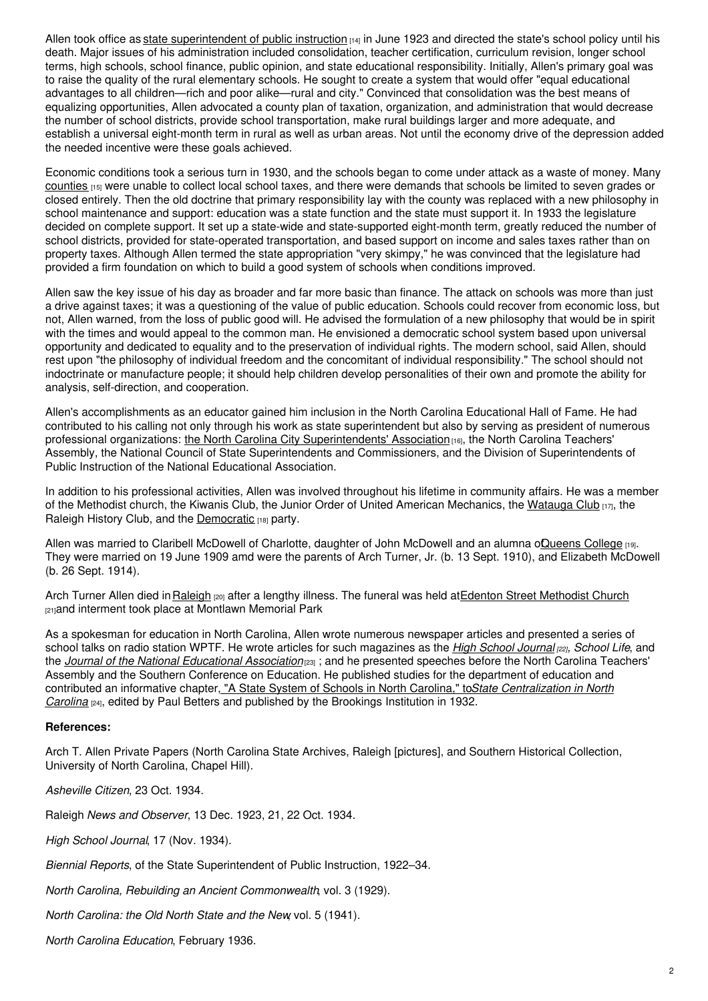Allen took office as state [superintendent](http://www.ncpublicschools.org/statesuperintendent/) of public instruction  $[14]$  in June 1923 and directed the state's school policy until his death. Major issues of his administration included consolidation, teacher certification, curriculum revision, longer school terms, high schools, school finance, public opinion, and state educational responsibility. Initially, Allen's primary goal was to raise the quality of the rural elementary schools. He sought to create a system that would offer "equal educational advantages to all children—rich and poor alike—rural and city." Convinced that consolidation was the best means of equalizing opportunities, Allen advocated a county plan of taxation, organization, and administration that would decrease the number of school districts, provide school transportation, make rural buildings larger and more adequate, and establish a universal eight-month term in rural as well as urban areas. Not until the economy drive of the depression added the needed incentive were these goals achieved.

Economic conditions took a serious turn in 1930, and the schools began to come under attack as a waste of money. Many [counties](https://www.ncpedia.org/counties) [15] were unable to collect local school taxes, and there were demands that schools be limited to seven grades or closed entirely. Then the old doctrine that primary responsibility lay with the county was replaced with a new philosophy in school maintenance and support: education was a state function and the state must support it. In 1933 the legislature decided on complete support. It set up a state-wide and state-supported eight-month term, greatly reduced the number of school districts, provided for state-operated transportation, and based support on income and sales taxes rather than on property taxes. Although Allen termed the state appropriation "very skimpy," he was convinced that the legislature had provided a firm foundation on which to build a good system of schools when conditions improved.

Allen saw the key issue of his day as broader and far more basic than finance. The attack on schools was more than just a drive against taxes; it was a questioning of the value of public education. Schools could recover from economic loss, but not, Allen warned, from the loss of public good will. He advised the formulation of a new philosophy that would be in spirit with the times and would appeal to the common man. He envisioned a democratic school system based upon universal opportunity and dedicated to equality and to the preservation of individual rights. The modern school, said Allen, should rest upon "the philosophy of individual freedom and the concomitant of individual responsibility." The school should not indoctrinate or manufacture people; it should help children develop personalities of their own and promote the ability for analysis, self-direction, and cooperation.

Allen's accomplishments as an educator gained him inclusion in the North Carolina Educational Hall of Fame. He had contributed to his calling not only through his work as state superintendent but also by serving as president of numerous professional organizations: the North Carolina City [Superintendents'](https://www.ncasa.net/) Association [16], the North Carolina Teachers' Assembly, the National Council of State Superintendents and Commissioners, and the Division of Superintendents of Public Instruction of the National Educational Association.

In addition to his professional activities, Allen was involved throughout his lifetime in community affairs. He was a member of the Methodist church, the Kiwanis Club, the Junior Order of United American Mechanics, the [Watauga](https://www.ncpedia.org/watauga-club) Club [17], the Raleigh History Club, and the [Democratic](https://www.ncpedia.org/democratic-party) [18] party.

Allen was married to Claribell McDowell of Charlotte, daughter of John McDowell and an alumna oQueens College [19]. They were married on 19 June 1909 amd were the parents of Arch Turner, Jr. (b. 13 Sept. 1910), and Elizabeth McDowell (b. 26 Sept. 1914).

Arch Turner Allen died in [Raleigh](https://www.ncpedia.org/geography/raleigh) [20] after a lengthy illness. The funeral was held at Edenton Street [Methodist](http://www.esumc.org/) Church [21]and interment took place at Montlawn Memorial Park

As a spokesman for education in North Carolina, Allen wrote numerous newspaper articles and presented a series of school talks on radio station WPTF. He wrote articles for such magazines as the *High School [Journal](http://muse.jhu.edu/journals/hsj/) [22], School Life*, and the *Journal of the National [Educational](http://www.nea.org/home/606.htm) Association*[23] ; and he presented speeches before the North Carolina Teachers' Assembly and the Southern Conference on Education. He published studies for the department of education and contributed an informative chapter, "A State System of Schools in North Carolina," to*State [Centralization](http://books.google.com/books/about/State_centralization_in_North_Carolina.html?id=viFUAAAAYAAJ) in North Carolina* [24], edited by Paul Betters and published by the Brookings Institution in 1932.

#### **References:**

Arch T. Allen Private Papers (North Carolina State Archives, Raleigh [pictures], and Southern Historical Collection, University of North Carolina, Chapel Hill).

*Asheville Citizen*, 23 Oct. 1934.

Raleigh *News and Observer*, 13 Dec. 1923, 21, 22 Oct. 1934.

*High School Journal*, 17 (Nov. 1934).

*Biennial Reports*, of the State Superintendent of Public Instruction, 1922–34.

*North Carolina, Rebuilding an Ancient Commonwealth*, vol. 3 (1929).

*North Carolina: the Old North State and the New*, vol. 5 (1941).

*North Carolina Education*, February 1936.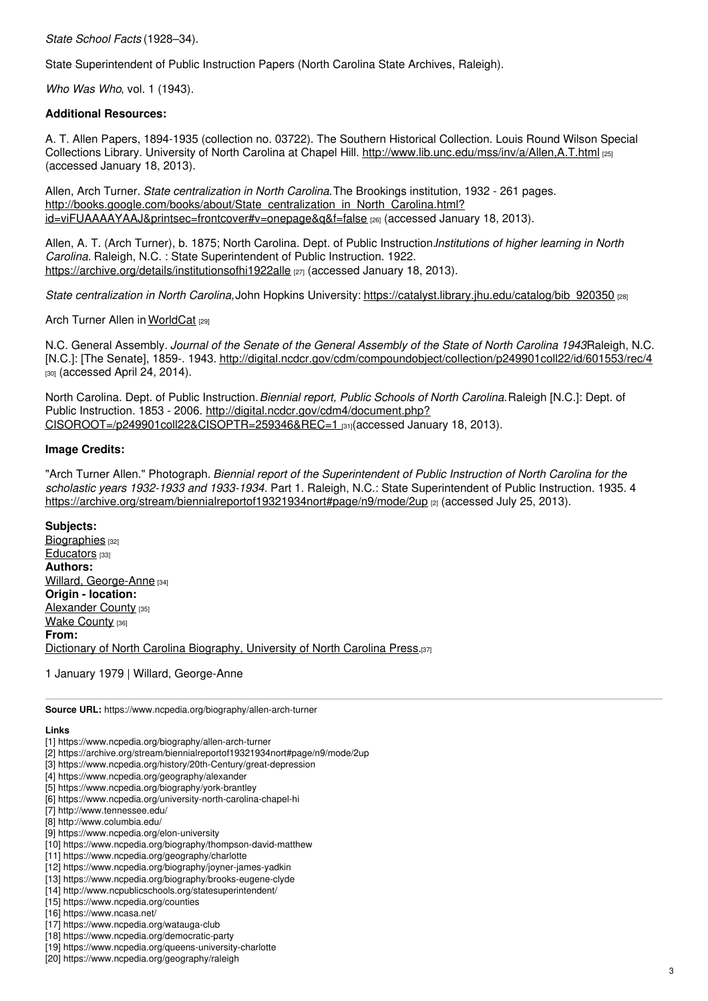*State School Facts* (1928–34).

State Superintendent of Public Instruction Papers (North Carolina State Archives, Raleigh).

*Who Was Who*, vol. 1 (1943).

#### **Additional Resources:**

A. T. Allen Papers, 1894-1935 (collection no. 03722). The Southern Historical Collection. Louis Round Wilson Special Collections Library. University of North Carolina at Chapel Hill. <http://www.lib.unc.edu/mss/inv/a/Allen,A.T.html> [25] (accessed January 18, 2013).

Allen, Arch Turner. *State centralization in North Carolina.*The Brookings institution, 1932 - 261 pages. [http://books.google.com/books/about/State\\_centralization\\_in\\_North\\_Carolina.html?](http://books.google.com/books/about/State_centralization_in_North_Carolina.html?id=viFUAAAAYAAJ&printsec=frontcover#v=onepage&q&f=false) id=viFUAAAAYAAJ&printsec=frontcover#v=onepage&q&f=false [26] (accessed January 18, 2013).

Allen, A. T. (Arch Turner), b. 1875; North Carolina. Dept. of Public Instruction.*Institutions of higher learning in North Carolina.* Raleigh, N.C. : State Superintendent of Public Instruction. 1922. <https://archive.org/details/institutionsofhi1922alle> [27] (accessed January 18, 2013).

*State centralization in North Carolina,*John Hopkins University: [https://catalyst.library.jhu.edu/catalog/bib\\_920350](https://catalyst.library.jhu.edu/catalog/bib_920350) [28]

Arch Turner Allen in [WorldCat](https://www.worldcat.org/identities/lccn-n88-2126) [29]

N.C. General Assembly. *Journal of the Senate of the General Assembly of the State of North Carolina 1943.*Raleigh, N.C. [N.C.]: [The Senate], 1859-. 1943. <http://digital.ncdcr.gov/cdm/compoundobject/collection/p249901coll22/id/601553/rec/4> [30] (accessed April 24, 2014).

North Carolina. Dept. of Public Instruction.*Biennial report, Public Schools of North Carolina.*Raleigh [N.C.]: Dept. of Public Instruction. 1853 - 2006. http://digital.ncdcr.gov/cdm4/document.php? [CISOROOT=/p249901coll22&CISOPTR=259346&REC=1](http://digital.ncdcr.gov/cdm4/document.php?CISOROOT=/p249901coll22&CISOPTR=259346&REC=1) [31](accessed January 18, 2013).

#### **Image Credits:**

"Arch Turner Allen." Photograph. *Biennial report of the Superintendent of Public Instruction of North Carolina for the scholastic years 1932-1933 and 1933-1934.* Part 1. Raleigh, N.C.: State Superintendent of Public Instruction. 1935. 4 <https://archive.org/stream/biennialreportof19321934nort#page/n9/mode/2up> [2] (accessed July 25, 2013).

**Subjects:**

[Biographies](https://www.ncpedia.org/category/subjects/biography-term) [32] [Educators](https://www.ncpedia.org/category/subjects/educators) [33] **Authors:** Willard, [George-Anne](https://www.ncpedia.org/category/authors/willard-george-ann) [34] **Origin - location:** [Alexander](https://www.ncpedia.org/category/origin-location/piedmon-14) County [35] Wake [County](https://www.ncpedia.org/category/origin-location/piedmont/w) [36] **From:** Dictionary of North Carolina [Biography,](https://www.ncpedia.org/category/entry-source/dictionary-no) University of North Carolina Press.[37]

1 January 1979 | Willard, George-Anne

**Source URL:** https://www.ncpedia.org/biography/allen-arch-turner

#### **Links**

- [1] https://www.ncpedia.org/biography/allen-arch-turner
- [2] https://archive.org/stream/biennialreportof19321934nort#page/n9/mode/2up
- [3] https://www.ncpedia.org/history/20th-Century/great-depression
- [4] https://www.ncpedia.org/geography/alexander
- [5] https://www.ncpedia.org/biography/york-brantley
- [6] https://www.ncpedia.org/university-north-carolina-chapel-hi
- [7] http://www.tennessee.edu/
- [8] http://www.columbia.edu/
- [9] https://www.ncpedia.org/elon-university
- [10] https://www.ncpedia.org/biography/thompson-david-matthew
- [11] https://www.ncpedia.org/geography/charlotte
- [12] https://www.ncpedia.org/biography/joyner-james-yadkin
- [13] https://www.ncpedia.org/biography/brooks-eugene-clyde
- [14] http://www.ncpublicschools.org/statesuperintendent/
- [15] https://www.ncpedia.org/counties
- [16] https://www.ncasa.net/
- [17] https://www.ncpedia.org/watauga-club
- [18] https://www.ncpedia.org/democratic-party
- [19] https://www.ncpedia.org/queens-university-charlotte
- [20] https://www.ncpedia.org/geography/raleigh